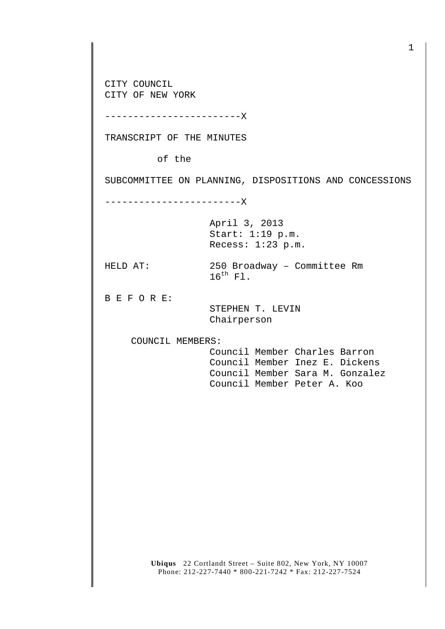CITY COUNCIL CITY OF NEW YORK

------------------------X

TRANSCRIPT OF THE MINUTES

of the

SUBCOMMITTEE ON PLANNING, DISPOSITIONS AND CONCESSIONS

------------------------X

April 3, 2013 Start: 1:19 p.m. Recess: 1:23 p.m.

HELD AT: 250 Broadway – Committee Rm  $16^{\text{th}}$  Fl.

B E F O R E:

 STEPHEN T. LEVIN Chairperson

COUNCIL MEMBERS:

 Council Member Charles Barron Council Member Inez E. Dickens Council Member Sara M. Gonzalez Council Member Peter A. Koo

**Ubiqus** 22 Cortlandt Street – Suite 802, New York, NY 10007 Phone: 212-227-7440 \* 800-221-7242 \* Fax: 212-227-7524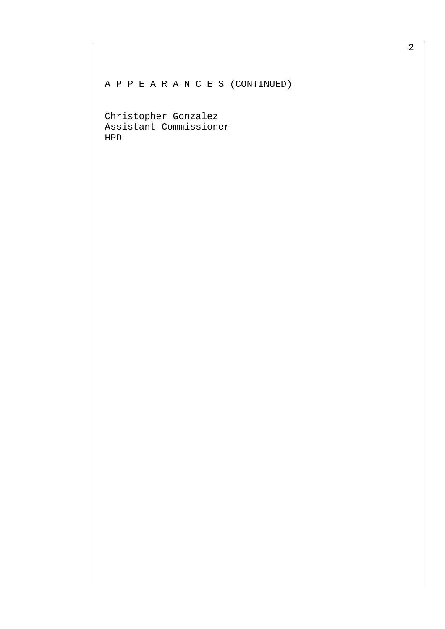A P P E A R A N C E S (CONTINUED)

Christopher Gonzalez Assistant Commissioner HPD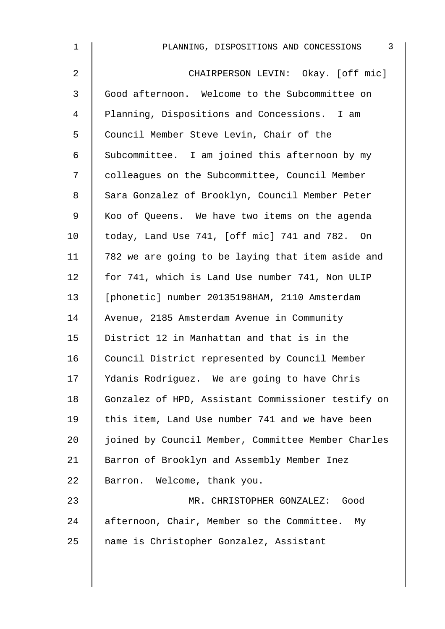| 1              | $\overline{3}$<br>PLANNING, DISPOSITIONS AND CONCESSIONS |
|----------------|----------------------------------------------------------|
| $\overline{2}$ | CHAIRPERSON LEVIN: Okay. [off mic]                       |
| 3              | Good afternoon. Welcome to the Subcommittee on           |
| 4              | Planning, Dispositions and Concessions. I am             |
| 5              | Council Member Steve Levin, Chair of the                 |
| 6              | Subcommittee. I am joined this afternoon by my           |
| 7              | colleagues on the Subcommittee, Council Member           |
| 8              | Sara Gonzalez of Brooklyn, Council Member Peter          |
| 9              | Koo of Queens. We have two items on the agenda           |
| 10             | today, Land Use 741, [off mic] 741 and 782. On           |
| 11             | 782 we are going to be laying that item aside and        |
| 12             | for 741, which is Land Use number 741, Non ULIP          |
| 13             | [phonetic] number 20135198HAM, 2110 Amsterdam            |
| 14             | Avenue, 2185 Amsterdam Avenue in Community               |
| 15             | District 12 in Manhattan and that is in the              |
| 16             | Council District represented by Council Member           |
| 17             | Ydanis Rodriguez. We are going to have Chris             |
| 18             | Gonzalez of HPD, Assistant Commissioner testify on       |
| 19             | this item, Land Use number 741 and we have been          |
| 20             | joined by Council Member, Committee Member Charles       |
| 21             | Barron of Brooklyn and Assembly Member Inez              |
| 22             | Barron. Welcome, thank you.                              |
| 23             | MR. CHRISTOPHER GONZALEZ:<br>Good                        |
| 24             | afternoon, Chair, Member so the Committee.<br>Мy         |
| 25             | name is Christopher Gonzalez, Assistant                  |
|                |                                                          |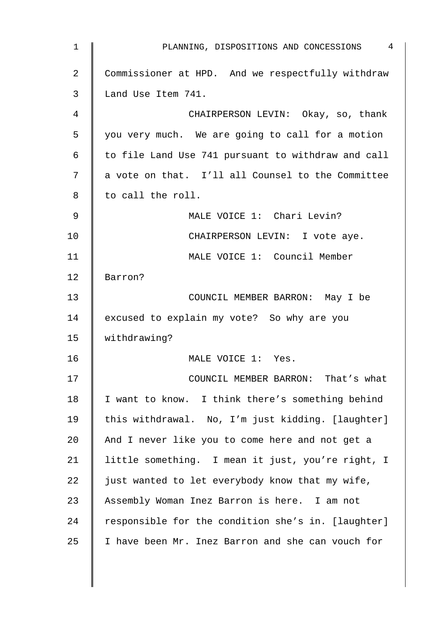| $\mathbf 1$ | PLANNING, DISPOSITIONS AND CONCESSIONS 4           |
|-------------|----------------------------------------------------|
| 2           | Commissioner at HPD. And we respectfully withdraw  |
| 3           | Land Use Item 741.                                 |
| 4           | CHAIRPERSON LEVIN: Okay, so, thank                 |
| 5           | you very much. We are going to call for a motion   |
| 6           | to file Land Use 741 pursuant to withdraw and call |
| 7           | a vote on that. I'll all Counsel to the Committee  |
| 8           | to call the roll.                                  |
| 9           | MALE VOICE 1: Chari Levin?                         |
| 10          | CHAIRPERSON LEVIN: I vote aye.                     |
| 11          | MALE VOICE 1: Council Member                       |
| 12          | Barron?                                            |
| 13          | COUNCIL MEMBER BARRON: May I be                    |
| 14          | excused to explain my vote? So why are you         |
| 15          | withdrawing?                                       |
| 16          | MALE VOICE 1: Yes.                                 |
| 17          | COUNCIL MEMBER BARRON: That's what                 |
| 18          | I want to know. I think there's something behind   |
| 19          | this withdrawal. No, I'm just kidding. [laughter]  |
| 20          | And I never like you to come here and not get a    |
| 21          | little something. I mean it just, you're right, I  |
| 22          | just wanted to let everybody know that my wife,    |
| 23          | Assembly Woman Inez Barron is here. I am not       |
| 24          | responsible for the condition she's in. [laughter] |
| 25          | I have been Mr. Inez Barron and she can vouch for  |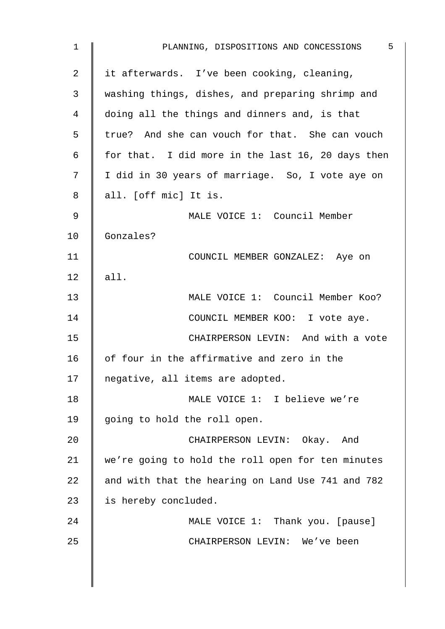| 1              | - 5<br>PLANNING, DISPOSITIONS AND CONCESSIONS     |
|----------------|---------------------------------------------------|
| $\overline{2}$ | it afterwards. I've been cooking, cleaning,       |
| 3              | washing things, dishes, and preparing shrimp and  |
| 4              | doing all the things and dinners and, is that     |
| 5              | true? And she can vouch for that. She can vouch   |
| 6              | for that. I did more in the last 16, 20 days then |
| 7              | I did in 30 years of marriage. So, I vote aye on  |
| 8              | all. [off mic] It is.                             |
| 9              | MALE VOICE 1: Council Member                      |
| 10             | Gonzales?                                         |
| 11             | COUNCIL MEMBER GONZALEZ: Aye on                   |
| 12             | all.                                              |
| 13             | MALE VOICE 1: Council Member Koo?                 |
| 14             | COUNCIL MEMBER KOO: I vote aye.                   |
| 15             | CHAIRPERSON LEVIN: And with a vote                |
| 16             | of four in the affirmative and zero in the        |
| 17             | negative, all items are adopted.                  |
| 18             | MALE VOICE 1: I believe we're                     |
| 19             | going to hold the roll open.                      |
| 20             | CHAIRPERSON LEVIN: Okay. And                      |
| 21             | we're going to hold the roll open for ten minutes |
| 22             | and with that the hearing on Land Use 741 and 782 |
| 23             | is hereby concluded.                              |
| 24             | MALE VOICE 1: Thank you. [pause]                  |
| 25             | CHAIRPERSON LEVIN: We've been                     |
|                |                                                   |
|                |                                                   |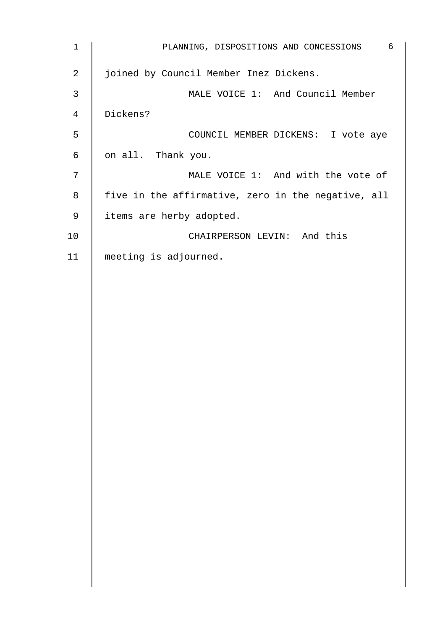| $\mathbf 1$    | 6<br>PLANNING, DISPOSITIONS AND CONCESSIONS        |
|----------------|----------------------------------------------------|
| $\overline{2}$ | joined by Council Member Inez Dickens.             |
| 3              | MALE VOICE 1: And Council Member                   |
| $\overline{4}$ | Dickens?                                           |
| 5              | COUNCIL MEMBER DICKENS: I vote aye                 |
| 6              | on all. Thank you.                                 |
| 7              | MALE VOICE 1: And with the vote of                 |
| 8              | five in the affirmative, zero in the negative, all |
| 9              | items are herby adopted.                           |
| 10             | CHAIRPERSON LEVIN: And this                        |
| 11             | meeting is adjourned.                              |
|                |                                                    |
|                |                                                    |
|                |                                                    |
|                |                                                    |
|                |                                                    |
|                |                                                    |
|                |                                                    |
|                |                                                    |